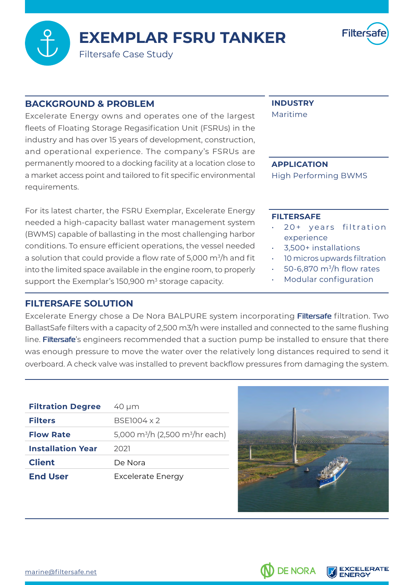**EXEMPLAR FSRU TANKER** 



Filtersafe Case Study

#### **BACKGROUND & PROBLEM**

Excelerate Energy owns and operates one of the largest fleets of Floating Storage Regasification Unit (FSRUs) in the industry and has over 15 years of development, construction, and operational experience. The company's FSRUs are permanently moored to a docking facility at a location close to a market access point and tailored to fit specific environmental .requirements

For its latest charter, the FSRU Exemplar, Excelerate Energy needed a high-capacity ballast water management system (BWMS) capable of ballasting in the most challenging harbor conditions. To ensure efficient operations, the vessel needed a solution that could provide a flow rate of 5,000  $\mathrm{m}^3\mathrm{/h}$  and fit into the limited space available in the engine room, to properly support the Exemplar's 150,900  $\mathrm{m}^{\mathrm{3}}$  storage capacity.

### **FILTERSAFE SOLUTION**

## **INDUSTRY**

Maritime

#### **APPLICATION**

High Performing BWMS

#### **FILTERSAFE**

- 20+ years filtration experience
- 3,500+ installations
- 10 micros upwards filtration
- 50-6,870 $m^3/h$  flow rates
- Modular configuration

Excelerate Energy chose a De Nora BALPURE system incorporating **Filtersafe** filtration. Two Ballast Safe filters with a capacity of 2,500 m3/h were installed and connected to the same flushing line. Filtersafe's engineers recommended that a suction pump be installed to ensure that there was enough pressure to move the water over the relatively long distances required to send it overboard. A check valve was installed to prevent backflow pressures from damaging the system.

| <b>Filtration Degree</b> | 40 µm                                                   |
|--------------------------|---------------------------------------------------------|
| <b>Filters</b>           | BSF1004 x 2                                             |
| <b>Flow Rate</b>         | 5,000 m <sup>3</sup> /h (2,500 m <sup>3</sup> /hr each) |
| <b>Installation Year</b> | 2021                                                    |
| <b>Client</b>            | De Nora                                                 |
| <b>End User</b>          | <b>Excelerate Energy</b>                                |